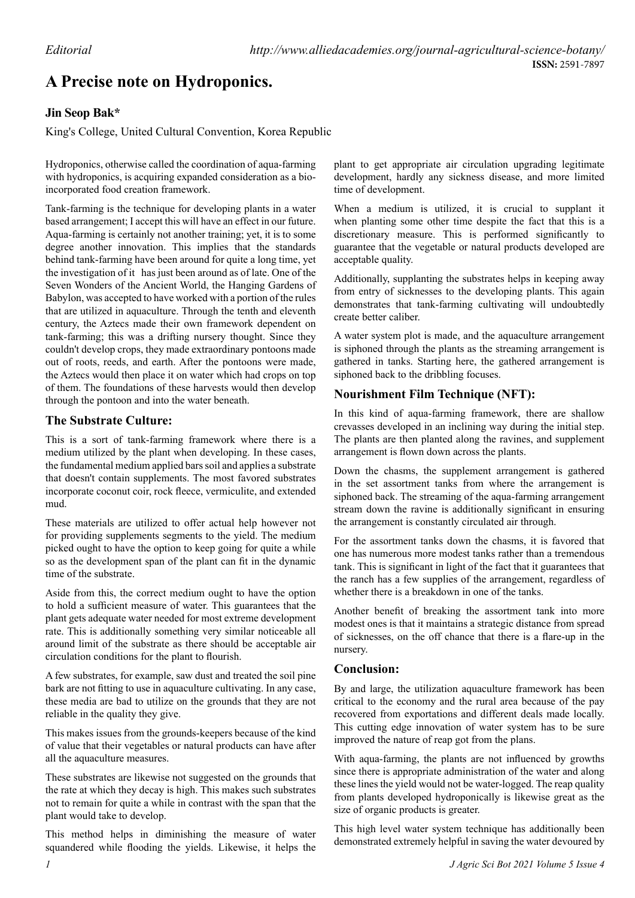# **A Precise note on Hydroponics.**

### **Jin Seop Bak\***

King's College, United Cultural Convention, Korea Republic

Hydroponics, otherwise called the coordination of aqua-farming with hydroponics, is acquiring expanded consideration as a bioincorporated food creation framework.

Tank-farming is the technique for developing plants in a water based arrangement; I accept this will have an effect in our future. Aqua-farming is certainly not another training; yet, it is to some degree another innovation. This implies that the standards behind tank-farming have been around for quite a long time, yet the investigation of it has just been around as of late. One of the Seven Wonders of the Ancient World, the Hanging Gardens of Babylon, was accepted to have worked with a portion of the rules that are utilized in aquaculture. Through the tenth and eleventh century, the Aztecs made their own framework dependent on tank-farming; this was a drifting nursery thought. Since they couldn't develop crops, they made extraordinary pontoons made out of roots, reeds, and earth. After the pontoons were made, the Aztecs would then place it on water which had crops on top of them. The foundations of these harvests would then develop through the pontoon and into the water beneath.

#### **The Substrate Culture:**

This is a sort of tank-farming framework where there is a medium utilized by the plant when developing. In these cases, the fundamental medium applied bars soil and applies a substrate that doesn't contain supplements. The most favored substrates incorporate coconut coir, rock fleece, vermiculite, and extended mud.

These materials are utilized to offer actual help however not for providing supplements segments to the yield. The medium picked ought to have the option to keep going for quite a while so as the development span of the plant can fit in the dynamic time of the substrate.

Aside from this, the correct medium ought to have the option to hold a sufficient measure of water. This guarantees that the plant gets adequate water needed for most extreme development rate. This is additionally something very similar noticeable all around limit of the substrate as there should be acceptable air circulation conditions for the plant to flourish.

A few substrates, for example, saw dust and treated the soil pine bark are not fitting to use in aquaculture cultivating. In any case, these media are bad to utilize on the grounds that they are not reliable in the quality they give.

This makes issues from the grounds-keepers because of the kind of value that their vegetables or natural products can have after all the aquaculture measures.

These substrates are likewise not suggested on the grounds that the rate at which they decay is high. This makes such substrates not to remain for quite a while in contrast with the span that the plant would take to develop.

This method helps in diminishing the measure of water squandered while flooding the yields. Likewise, it helps the plant to get appropriate air circulation upgrading legitimate development, hardly any sickness disease, and more limited time of development.

When a medium is utilized, it is crucial to supplant it when planting some other time despite the fact that this is a discretionary measure. This is performed significantly to guarantee that the vegetable or natural products developed are acceptable quality.

Additionally, supplanting the substrates helps in keeping away from entry of sicknesses to the developing plants. This again demonstrates that tank-farming cultivating will undoubtedly create better caliber.

A water system plot is made, and the aquaculture arrangement is siphoned through the plants as the streaming arrangement is gathered in tanks. Starting here, the gathered arrangement is siphoned back to the dribbling focuses.

#### **Nourishment Film Technique (NFT):**

In this kind of aqua-farming framework, there are shallow crevasses developed in an inclining way during the initial step. The plants are then planted along the ravines, and supplement arrangement is flown down across the plants.

Down the chasms, the supplement arrangement is gathered in the set assortment tanks from where the arrangement is siphoned back. The streaming of the aqua-farming arrangement stream down the ravine is additionally significant in ensuring the arrangement is constantly circulated air through.

For the assortment tanks down the chasms, it is favored that one has numerous more modest tanks rather than a tremendous tank. This is significant in light of the fact that it guarantees that the ranch has a few supplies of the arrangement, regardless of whether there is a breakdown in one of the tanks.

Another benefit of breaking the assortment tank into more modest ones is that it maintains a strategic distance from spread of sicknesses, on the off chance that there is a flare-up in the nursery.

#### **Conclusion:**

By and large, the utilization aquaculture framework has been critical to the economy and the rural area because of the pay recovered from exportations and different deals made locally. This cutting edge innovation of water system has to be sure improved the nature of reap got from the plans.

With aqua-farming, the plants are not influenced by growths since there is appropriate administration of the water and along these lines the yield would not be water-logged. The reap quality from plants developed hydroponically is likewise great as the size of organic products is greater.

This high level water system technique has additionally been demonstrated extremely helpful in saving the water devoured by